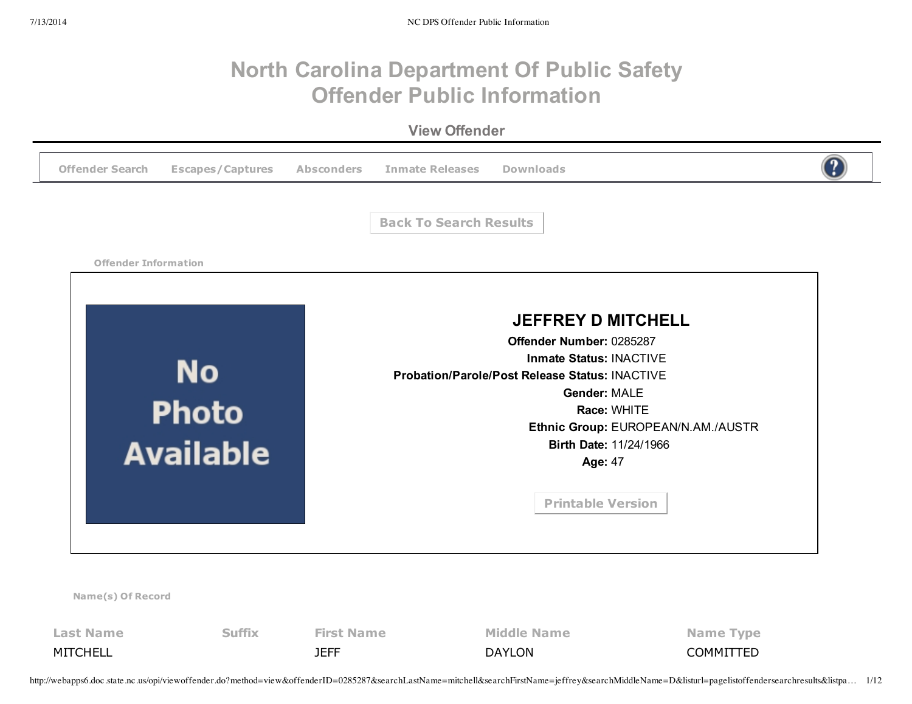## **North Carolina Department Of Public Safety Offender Public Information**

**View Offender**



MITCHELL JEFF DAYLON COMMITTED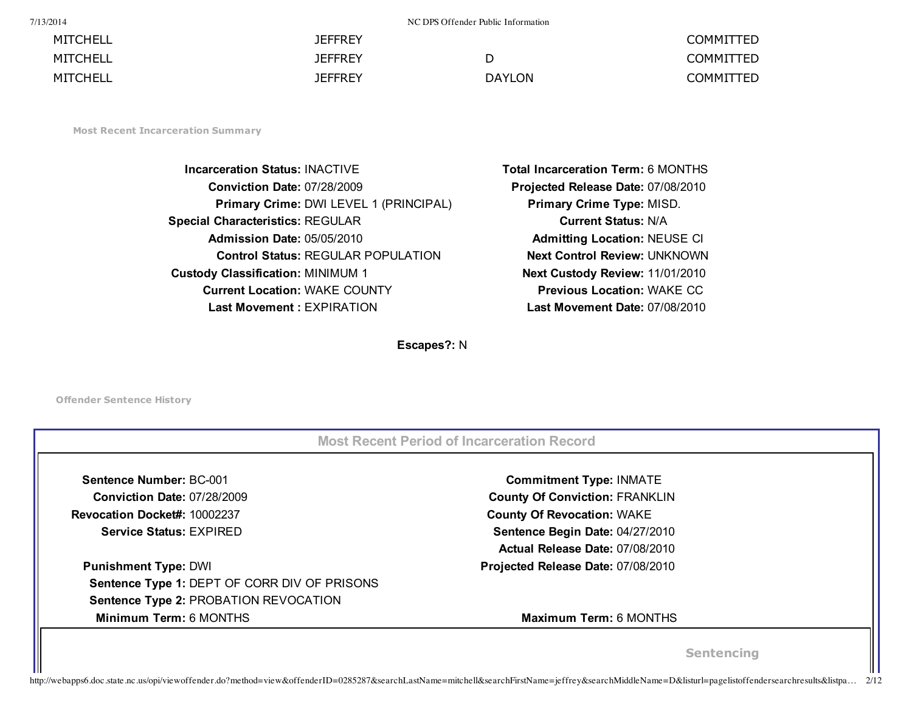7/13/2014 NC DPS Offender Public Information

| MITCHELL | <b>JEFFREY</b> |               | <b>COMMITTED</b> |
|----------|----------------|---------------|------------------|
| MITCHELL | <b>JEFFREY</b> |               | <b>COMMITTED</b> |
| MITCHELL | <b>JEFFREY</b> | <b>DAYLON</b> | <b>COMMITTED</b> |

**Most Recent Incarceration Summary**

**Incarceration Status:** INACTIVE **Total Incarceration Term:** 6 MONTHS **Conviction Date:** 07/28/2009 **Projected Release Date:** 07/08/2010 **Primary Crime:** DWI LEVEL 1 (PRINCIPAL) **Primary Crime Type:** MISD. **Special Characteristics:** REGULAR **Current Status:** N/A **Admission Date:** 05/05/2010 **Admitting Location:** NEUSE CI **Control Status:** REGULAR POPULATION **Next Control Review:** UNKNOWN **Custody Classification:** MINIMUM 1 **Next Custody Review:** 11/01/2010 **Current Location:** WAKE COUNTY **Previous Location:** WAKE CC **Last Movement :** EXPIRATION **Last Movement Date:** 07/08/2010

**Escapes?:** N

**Offender Sentence History**

| Sentence Number: BC-001                      | <b>Commitment Type: INMATE</b>        |  |
|----------------------------------------------|---------------------------------------|--|
| <b>Conviction Date: 07/28/2009</b>           | <b>County Of Conviction: FRANKLIN</b> |  |
| Revocation Docket#: 10002237                 | <b>County Of Revocation: WAKE</b>     |  |
| <b>Service Status: EXPIRED</b>               | Sentence Begin Date: 04/27/2010       |  |
|                                              | Actual Release Date: 07/08/2010       |  |
| <b>Punishment Type: DWI</b>                  | Projected Release Date: 07/08/2010    |  |
| Sentence Type 1: DEPT OF CORR DIV OF PRISONS |                                       |  |
| Sentence Type 2: PROBATION REVOCATION        |                                       |  |
| Minimum Term: 6 MONTHS                       | <b>Maximum Term: 6 MONTHS</b>         |  |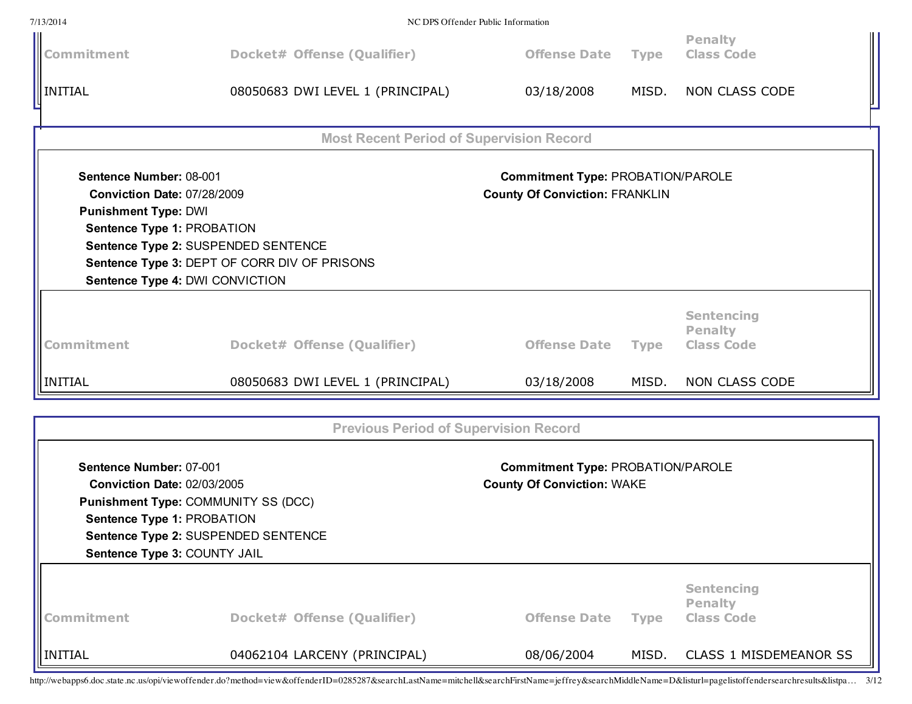| 7/13/2014                                                                                                                  |                                                                                                                                                                                                                                                                                            | NC DPS Offender Public Information                                                |             |                                                          |  |
|----------------------------------------------------------------------------------------------------------------------------|--------------------------------------------------------------------------------------------------------------------------------------------------------------------------------------------------------------------------------------------------------------------------------------------|-----------------------------------------------------------------------------------|-------------|----------------------------------------------------------|--|
| Commitment                                                                                                                 | Docket# Offense (Qualifier)                                                                                                                                                                                                                                                                | <b>Offense Date</b>                                                               | <b>Type</b> | <b>Penalty</b><br><b>Class Code</b>                      |  |
| $\sqrt{\frac{1}{2}}$ INITIAL                                                                                               | 08050683 DWI LEVEL 1 (PRINCIPAL)                                                                                                                                                                                                                                                           | 03/18/2008                                                                        | MISD.       | <b>NON CLASS CODE</b>                                    |  |
|                                                                                                                            | <b>Most Recent Period of Supervision Record</b>                                                                                                                                                                                                                                            |                                                                                   |             |                                                          |  |
| Sentence Number: 08-001<br><b>Conviction Date: 07/28/2009</b><br><b>Punishment Type: DWI</b><br>Sentence Type 1: PROBATION | Sentence Type 2: SUSPENDED SENTENCE<br>Sentence Type 3: DEPT OF CORR DIV OF PRISONS<br>Sentence Type 4: DWI CONVICTION                                                                                                                                                                     | <b>Commitment Type: PROBATION/PAROLE</b><br><b>County Of Conviction: FRANKLIN</b> |             |                                                          |  |
| Commitment                                                                                                                 | Docket# Offense (Qualifier)                                                                                                                                                                                                                                                                | <b>Offense Date</b>                                                               | <b>Type</b> | <b>Sentencing</b><br><b>Penalty</b><br><b>Class Code</b> |  |
| <b>INITIAL</b>                                                                                                             | 08050683 DWI LEVEL 1 (PRINCIPAL)                                                                                                                                                                                                                                                           | 03/18/2008                                                                        | MISD.       | NON CLASS CODE                                           |  |
|                                                                                                                            | <b>Previous Period of Supervision Record</b>                                                                                                                                                                                                                                               |                                                                                   |             |                                                          |  |
|                                                                                                                            | Sentence Number: 07-001<br><b>Commitment Type: PROBATION/PAROLE</b><br><b>County Of Conviction: WAKE</b><br><b>Conviction Date: 02/03/2005</b><br>Punishment Type: COMMUNITY SS (DCC)<br>Sentence Type 1: PROBATION<br>Sentence Type 2: SUSPENDED SENTENCE<br>Sentence Type 3: COUNTY JAIL |                                                                                   |             |                                                          |  |
| Commitment                                                                                                                 | Docket# Offense (Qualifier)                                                                                                                                                                                                                                                                | <b>Offense Date</b>                                                               | <b>Type</b> | <b>Sentencing</b><br><b>Penalty</b><br><b>Class Code</b> |  |
| <b>  </b> INITIAL                                                                                                          | 04062104 LARCENY (PRINCIPAL)                                                                                                                                                                                                                                                               | 08/06/2004                                                                        | MISD.       | <b>CLASS 1 MISDEMEANOR SS</b>                            |  |

http://webapps6.doc.state.nc.us/opi/viewoffender.do?method=view&offenderID=0285287&searchLastName=mitchell&searchFirstName=jeffrey&searchMiddleName=D&listurl=pagelistoffendersearchresults&listpa… 3/12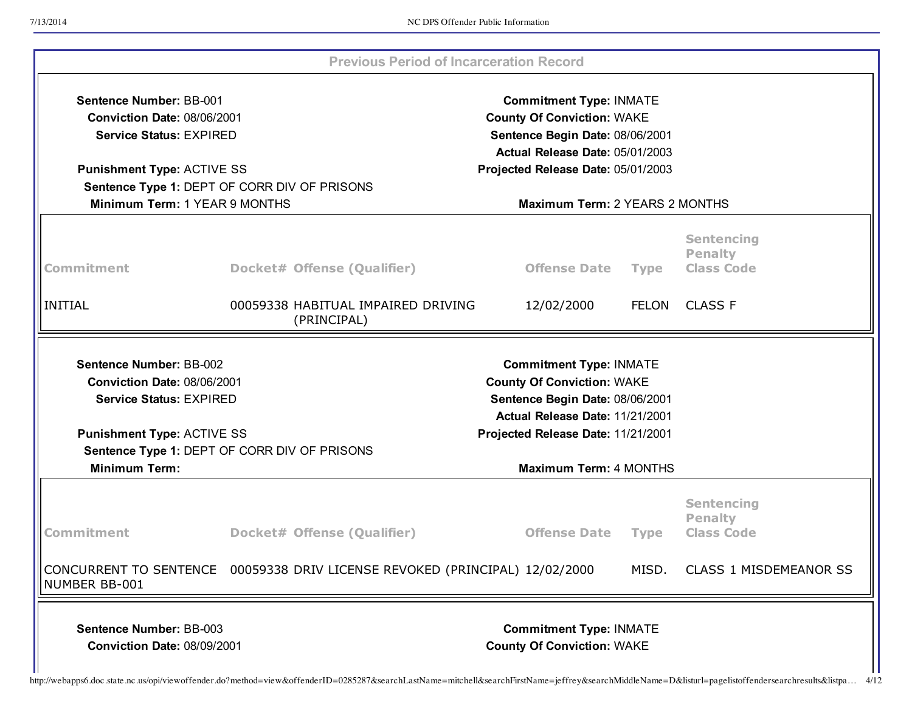|                                                                                                                                                           |                                                                                                                                                                                                            | <b>Previous Period of Incarceration Record</b>                              |                                                                                                                                               |             |                                                          |
|-----------------------------------------------------------------------------------------------------------------------------------------------------------|------------------------------------------------------------------------------------------------------------------------------------------------------------------------------------------------------------|-----------------------------------------------------------------------------|-----------------------------------------------------------------------------------------------------------------------------------------------|-------------|----------------------------------------------------------|
| <b>Sentence Number: BB-001</b>                                                                                                                            | <b>Commitment Type: INMATE</b><br>Conviction Date: 08/06/2001<br><b>County Of Conviction: WAKE</b><br><b>Service Status: EXPIRED</b><br>Sentence Begin Date: 08/06/2001<br>Actual Release Date: 05/01/2003 |                                                                             |                                                                                                                                               |             |                                                          |
| <b>Punishment Type: ACTIVE SS</b>                                                                                                                         |                                                                                                                                                                                                            |                                                                             | Projected Release Date: 05/01/2003                                                                                                            |             |                                                          |
| Sentence Type 1: DEPT OF CORR DIV OF PRISONS                                                                                                              |                                                                                                                                                                                                            |                                                                             |                                                                                                                                               |             |                                                          |
| Minimum Term: 1 YEAR 9 MONTHS                                                                                                                             |                                                                                                                                                                                                            |                                                                             | Maximum Term: 2 YEARS 2 MONTHS                                                                                                                |             |                                                          |
| Commitment                                                                                                                                                |                                                                                                                                                                                                            | Docket# Offense (Qualifier)                                                 | <b>Offense Date</b>                                                                                                                           | <b>Type</b> | <b>Sentencing</b><br><b>Penalty</b><br><b>Class Code</b> |
| INITIAL                                                                                                                                                   |                                                                                                                                                                                                            | 00059338 HABITUAL IMPAIRED DRIVING<br>(PRINCIPAL)                           | 12/02/2000                                                                                                                                    |             | FELON CLASS F                                            |
| <b>Conviction Date: 08/06/2001</b><br><b>Service Status: EXPIRED</b><br><b>Punishment Type: ACTIVE SS</b><br>Sentence Type 1: DEPT OF CORR DIV OF PRISONS |                                                                                                                                                                                                            |                                                                             | <b>County Of Conviction: WAKE</b><br>Sentence Begin Date: 08/06/2001<br>Actual Release Date: 11/21/2001<br>Projected Release Date: 11/21/2001 |             |                                                          |
| <b>Minimum Term:</b>                                                                                                                                      |                                                                                                                                                                                                            |                                                                             | <b>Maximum Term: 4 MONTHS</b>                                                                                                                 |             |                                                          |
| Commitment                                                                                                                                                |                                                                                                                                                                                                            | Docket# Offense (Qualifier)                                                 | <b>Offense Date</b>                                                                                                                           | <b>Type</b> | <b>Sentencing</b><br><b>Penalty</b><br><b>Class Code</b> |
|                                                                                                                                                           |                                                                                                                                                                                                            |                                                                             |                                                                                                                                               |             |                                                          |
| NUMBER BB-001                                                                                                                                             |                                                                                                                                                                                                            | CONCURRENT TO SENTENCE 00059338 DRIV LICENSE REVOKED (PRINCIPAL) 12/02/2000 |                                                                                                                                               | MISD.       | CLASS 1 MISDEMEANOR SS                                   |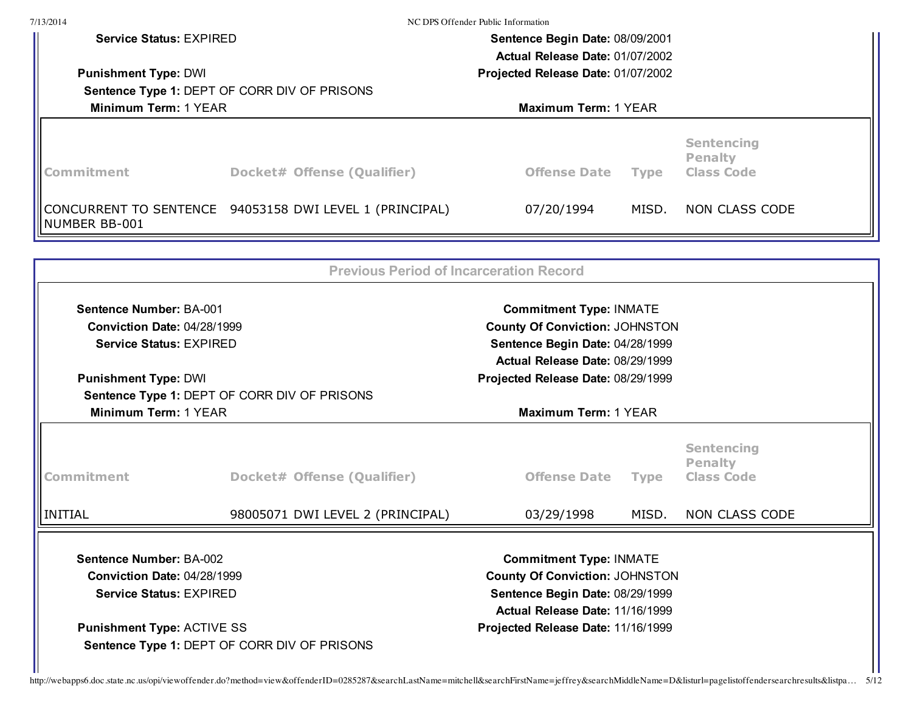| 7/13/2014                                                                                                                                                                                   |                                                         | NC DPS Offender Public Information                                                                                                            |             |                                                          |  |
|---------------------------------------------------------------------------------------------------------------------------------------------------------------------------------------------|---------------------------------------------------------|-----------------------------------------------------------------------------------------------------------------------------------------------|-------------|----------------------------------------------------------|--|
| <b>Service Status: EXPIRED</b>                                                                                                                                                              |                                                         | Sentence Begin Date: 08/09/2001                                                                                                               |             |                                                          |  |
|                                                                                                                                                                                             |                                                         | Actual Release Date: 01/07/2002                                                                                                               |             |                                                          |  |
| <b>Punishment Type: DWI</b>                                                                                                                                                                 | Projected Release Date: 01/07/2002                      |                                                                                                                                               |             |                                                          |  |
|                                                                                                                                                                                             | Sentence Type 1: DEPT OF CORR DIV OF PRISONS            |                                                                                                                                               |             |                                                          |  |
| Minimum Term: 1 YEAR                                                                                                                                                                        |                                                         | Maximum Term: 1 YEAR                                                                                                                          |             |                                                          |  |
| Commitment                                                                                                                                                                                  | Docket# Offense (Qualifier)                             | <b>Sentencing</b><br><b>Penalty</b><br><b>Offense Date</b><br><b>Class Code</b><br><b>Type</b>                                                |             |                                                          |  |
| NUMBER BB-001                                                                                                                                                                               | CONCURRENT TO SENTENCE 94053158 DWI LEVEL 1 (PRINCIPAL) | 07/20/1994                                                                                                                                    | MISD.       | NON CLASS CODE                                           |  |
|                                                                                                                                                                                             | <b>Previous Period of Incarceration Record</b>          |                                                                                                                                               |             |                                                          |  |
| <b>Sentence Number: BA-001</b>                                                                                                                                                              |                                                         | <b>Commitment Type: INMATE</b>                                                                                                                |             |                                                          |  |
| <b>Conviction Date: 04/28/1999</b>                                                                                                                                                          |                                                         | <b>County Of Conviction: JOHNSTON</b>                                                                                                         |             |                                                          |  |
| <b>Service Status: EXPIRED</b>                                                                                                                                                              |                                                         | Sentence Begin Date: 04/28/1999                                                                                                               |             |                                                          |  |
|                                                                                                                                                                                             |                                                         | Actual Release Date: 08/29/1999                                                                                                               |             |                                                          |  |
| <b>Punishment Type: DWI</b>                                                                                                                                                                 | Sentence Type 1: DEPT OF CORR DIV OF PRISONS            | Projected Release Date: 08/29/1999                                                                                                            |             |                                                          |  |
| Minimum Term: 1 YEAR                                                                                                                                                                        |                                                         | Maximum Term: 1 YEAR                                                                                                                          |             |                                                          |  |
|                                                                                                                                                                                             |                                                         |                                                                                                                                               |             |                                                          |  |
| Commitment                                                                                                                                                                                  | Docket# Offense (Qualifier)                             | <b>Offense Date</b>                                                                                                                           | <b>Type</b> | <b>Sentencing</b><br><b>Penalty</b><br><b>Class Code</b> |  |
| <b>INITIAL</b>                                                                                                                                                                              | 98005071 DWI LEVEL 2 (PRINCIPAL)                        | 03/29/1998                                                                                                                                    | MISD.       | <b>NON CLASS CODE</b>                                    |  |
| <b>Sentence Number: BA-002</b><br><b>Conviction Date: 04/28/1999</b><br><b>Service Status: EXPIRED</b><br><b>Punishment Type: ACTIVE SS</b><br>Sentence Type 1: DEPT OF CORR DIV OF PRISONS |                                                         | <b>Commitment Type: INMATE</b><br><b>County Of Conviction: JOHNSTON</b><br>Sentence Begin Date: 08/29/1999<br>Actual Release Date: 11/16/1999 |             |                                                          |  |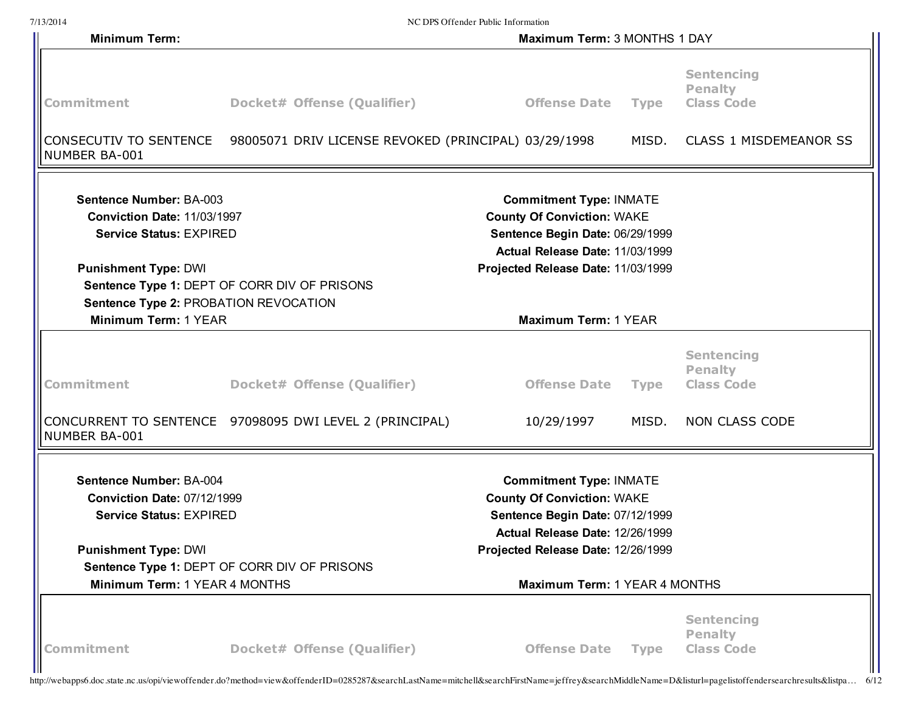|                                                                                                        |                                                                             | NC DPS Offender Public Information                                                                                                        |             |                                                          |
|--------------------------------------------------------------------------------------------------------|-----------------------------------------------------------------------------|-------------------------------------------------------------------------------------------------------------------------------------------|-------------|----------------------------------------------------------|
| <b>Minimum Term:</b>                                                                                   |                                                                             | Maximum Term: 3 MONTHS 1 DAY                                                                                                              |             |                                                          |
| Commitment                                                                                             | Docket# Offense (Qualifier)                                                 | <b>Offense Date</b>                                                                                                                       | <b>Type</b> | <b>Sentencing</b><br><b>Penalty</b><br><b>Class Code</b> |
| NUMBER BA-001                                                                                          | CONSECUTIV TO SENTENCE 98005071 DRIV LICENSE REVOKED (PRINCIPAL) 03/29/1998 |                                                                                                                                           | MISD.       | <b>CLASS 1 MISDEMEANOR SS</b>                            |
| <b>Sentence Number: BA-003</b><br><b>Conviction Date: 11/03/1997</b><br><b>Service Status: EXPIRED</b> |                                                                             | <b>Commitment Type: INMATE</b><br><b>County Of Conviction: WAKE</b><br>Sentence Begin Date: 06/29/1999<br>Actual Release Date: 11/03/1999 |             |                                                          |
| <b>Punishment Type: DWI</b><br>Sentence Type 2: PROBATION REVOCATION                                   | Sentence Type 1: DEPT OF CORR DIV OF PRISONS                                | Projected Release Date: 11/03/1999                                                                                                        |             |                                                          |
| Minimum Term: 1 YEAR                                                                                   |                                                                             | Maximum Term: 1 YEAR                                                                                                                      |             |                                                          |
| <b>Commitment</b>                                                                                      | Docket# Offense (Qualifier)                                                 | <b>Offense Date</b>                                                                                                                       | <b>Type</b> | <b>Sentencing</b><br><b>Penalty</b><br><b>Class Code</b> |
| NUMBER BA-001                                                                                          | CONCURRENT TO SENTENCE 97098095 DWI LEVEL 2 (PRINCIPAL)                     | 10/29/1997                                                                                                                                | MISD.       | NON CLASS CODE                                           |
| <b>Sentence Number: BA-004</b><br><b>Conviction Date: 07/12/1999</b>                                   |                                                                             | <b>Commitment Type: INMATE</b><br><b>County Of Conviction: WAKE</b><br>Sentence Begin Date: 07/12/1999                                    |             |                                                          |
| <b>Service Status: EXPIRED</b>                                                                         |                                                                             |                                                                                                                                           |             |                                                          |
| <b>Punishment Type: DWI</b>                                                                            | Sentence Type 1: DEPT OF CORR DIV OF PRISONS                                | Actual Release Date: 12/26/1999<br>Projected Release Date: 12/26/1999                                                                     |             |                                                          |
| Minimum Term: 1 YEAR 4 MONTHS                                                                          |                                                                             | Maximum Term: 1 YEAR 4 MONTHS                                                                                                             |             |                                                          |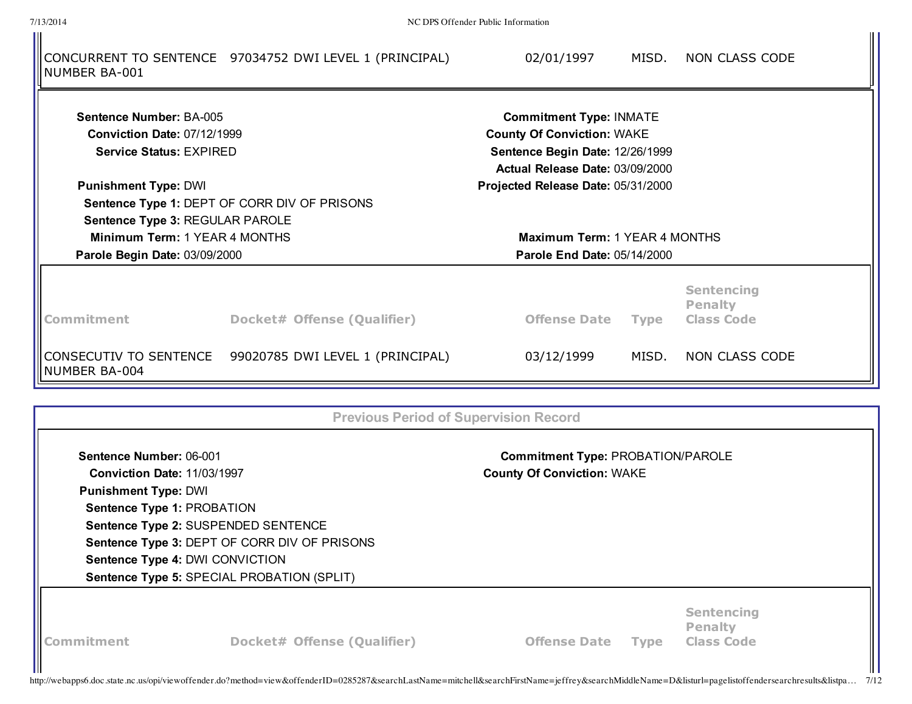7/13/2014 NC DPS Offender Public Information

| NUMBER BA-001                                                                                                                  | CONCURRENT TO SENTENCE 97034752 DWI LEVEL 1 (PRINCIPAL)                                                                                                              | 02/01/1997                                                                                              | MISD.       | NON CLASS CODE                                           |
|--------------------------------------------------------------------------------------------------------------------------------|----------------------------------------------------------------------------------------------------------------------------------------------------------------------|---------------------------------------------------------------------------------------------------------|-------------|----------------------------------------------------------|
| <b>Sentence Number: BA-005</b>                                                                                                 |                                                                                                                                                                      | <b>Commitment Type: INMATE</b>                                                                          |             |                                                          |
| <b>Conviction Date: 07/12/1999</b><br><b>Service Status: EXPIRED</b>                                                           |                                                                                                                                                                      | <b>County Of Conviction: WAKE</b><br>Sentence Begin Date: 12/26/1999<br>Actual Release Date: 03/09/2000 |             |                                                          |
| <b>Punishment Type: DWI</b>                                                                                                    | Sentence Type 1: DEPT OF CORR DIV OF PRISONS<br>Sentence Type 3: REGULAR PAROLE                                                                                      | Projected Release Date: 05/31/2000                                                                      |             |                                                          |
| Minimum Term: 1 YEAR 4 MONTHS<br>Maximum Term: 1 YEAR 4 MONTHS<br>Parole Begin Date: 03/09/2000<br>Parole End Date: 05/14/2000 |                                                                                                                                                                      |                                                                                                         |             |                                                          |
| <b>Commitment</b>                                                                                                              | Docket# Offense (Qualifier)                                                                                                                                          | <b>Offense Date</b>                                                                                     | <b>Type</b> | <b>Sentencing</b><br><b>Penalty</b><br><b>Class Code</b> |
| CONSECUTIV TO SENTENCE<br>NUMBER BA-004                                                                                        | 99020785 DWI LEVEL 1 (PRINCIPAL)                                                                                                                                     | 03/12/1999                                                                                              | MISD.       | NON CLASS CODE                                           |
|                                                                                                                                |                                                                                                                                                                      | <b>Previous Period of Supervision Record</b>                                                            |             |                                                          |
| Sentence Number: 06-001<br><b>Conviction Date: 11/03/1997</b><br><b>Punishment Type: DWI</b>                                   |                                                                                                                                                                      | <b>Commitment Type: PROBATION/PAROLE</b><br><b>County Of Conviction: WAKE</b>                           |             |                                                          |
| Sentence Type 1: PROBATION                                                                                                     | Sentence Type 2: SUSPENDED SENTENCE<br>Sentence Type 3: DEPT OF CORR DIV OF PRISONS<br>Sentence Type 4: DWI CONVICTION<br>Sentence Type 5: SPECIAL PROBATION (SPLIT) |                                                                                                         |             |                                                          |
| Commitment                                                                                                                     | <b>Docket# Offense (Qualifier)</b>                                                                                                                                   | <b>Offense Date</b>                                                                                     | <b>Type</b> | <b>Sentencing</b><br><b>Penalty</b><br><b>Class Code</b> |

http://webapps6.doc.state.nc.us/opi/viewoffender.do?method=view&offenderID=0285287&searchLastName=mitchell&searchFirstName=jeffrey&searchMiddleName=D&listurl=pagelistoffendersearchresults&listpa… 7/12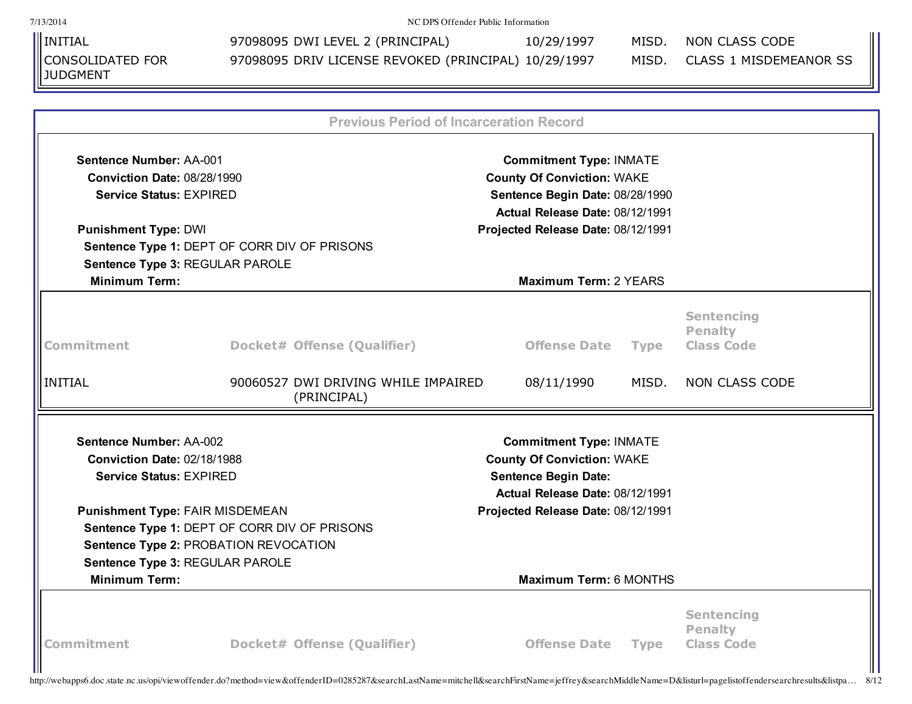| 7/13/2014                                                         |                                                      | NC DPS Offender Public Information                                  |             |                                                          |
|-------------------------------------------------------------------|------------------------------------------------------|---------------------------------------------------------------------|-------------|----------------------------------------------------------|
| <b>I</b> INITIAL                                                  | 97098095 DWI LEVEL 2 (PRINCIPAL)                     | 10/29/1997                                                          | MISD.       | NON CLASS CODE                                           |
| CONSOLIDATED FOR<br><b>JUDGMENT</b>                               | 97098095 DRIV LICENSE REVOKED (PRINCIPAL) 10/29/1997 |                                                                     | MISD.       | <b>CLASS 1 MISDEMEANOR SS</b>                            |
|                                                                   |                                                      |                                                                     |             |                                                          |
|                                                                   |                                                      | <b>Previous Period of Incarceration Record</b>                      |             |                                                          |
| <b>Sentence Number: AA-001</b>                                    |                                                      | <b>Commitment Type: INMATE</b>                                      |             |                                                          |
| <b>Conviction Date: 08/28/1990</b>                                |                                                      | <b>County Of Conviction: WAKE</b>                                   |             |                                                          |
| <b>Service Status: EXPIRED</b><br>Sentence Begin Date: 08/28/1990 |                                                      |                                                                     |             |                                                          |
|                                                                   |                                                      | Actual Release Date: 08/12/1991                                     |             |                                                          |
| <b>Punishment Type: DWI</b>                                       |                                                      | Projected Release Date: 08/12/1991                                  |             |                                                          |
|                                                                   | Sentence Type 1: DEPT OF CORR DIV OF PRISONS         |                                                                     |             |                                                          |
| Sentence Type 3: REGULAR PAROLE                                   |                                                      |                                                                     |             |                                                          |
| <b>Minimum Term:</b>                                              |                                                      | <b>Maximum Term: 2 YEARS</b>                                        |             |                                                          |
| Commitment                                                        | Docket# Offense (Qualifier)                          | <b>Offense Date</b>                                                 | <b>Type</b> | <b>Sentencing</b><br><b>Penalty</b><br><b>Class Code</b> |
| <b>INITIAL</b>                                                    | 90060527 DWI DRIVING WHILE IMPAIRED<br>(PRINCIPAL)   | 08/11/1990                                                          | MISD.       | NON CLASS CODE                                           |
| <b>Sentence Number: AA-002</b>                                    |                                                      |                                                                     |             |                                                          |
| <b>Conviction Date: 02/18/1988</b>                                |                                                      | <b>Commitment Type: INMATE</b><br><b>County Of Conviction: WAKE</b> |             |                                                          |
| <b>Service Status: EXPIRED</b>                                    |                                                      | <b>Sentence Begin Date:</b>                                         |             |                                                          |
|                                                                   |                                                      | Actual Release Date: 08/12/1991                                     |             |                                                          |
| <b>Punishment Type: FAIR MISDEMEAN</b>                            |                                                      | Projected Release Date: 08/12/1991                                  |             |                                                          |
|                                                                   | Sentence Type 1: DEPT OF CORR DIV OF PRISONS         |                                                                     |             |                                                          |
|                                                                   | Sentence Type 2: PROBATION REVOCATION                |                                                                     |             |                                                          |
| Sentence Type 3: REGULAR PAROLE                                   |                                                      |                                                                     |             |                                                          |
| <b>Minimum Term:</b>                                              |                                                      | Maximum Term: 6 MONTHS                                              |             |                                                          |
| <b>Commitment</b>                                                 | Docket# Offense (Qualifier)                          | <b>Offense Date</b>                                                 | <b>Type</b> | <b>Sentencing</b><br><b>Penalty</b><br><b>Class Code</b> |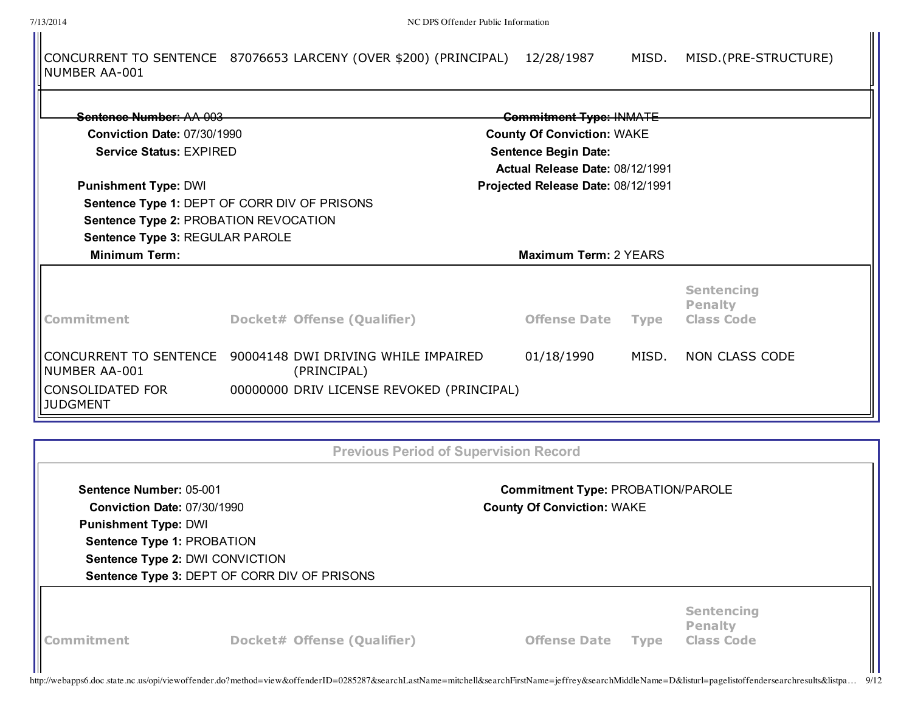⋔

|               | CONCURRENT TO SENTENCE 87076653 LARCENY (OVER \$200) (PRINCIPAL) 12/28/1987 |  | MISD. MISD. (PRE-STRUCTURE) |
|---------------|-----------------------------------------------------------------------------|--|-----------------------------|
| NUMBER AA-001 |                                                                             |  |                             |

| Sentence Number: AA 003<br><b>Punishment Type: DWI</b>       | <b>Commitment Type: INMATE</b><br><b>Conviction Date: 07/30/1990</b><br><b>County Of Conviction: WAKE</b><br><b>Service Status: EXPIRED</b><br><b>Sentence Begin Date:</b><br>Actual Release Date: 08/12/1991<br>Projected Release Date: 08/12/1991 |                     |             |                                                          |
|--------------------------------------------------------------|-----------------------------------------------------------------------------------------------------------------------------------------------------------------------------------------------------------------------------------------------------|---------------------|-------------|----------------------------------------------------------|
| <b>Minimum Term:</b>                                         | Sentence Type 1: DEPT OF CORR DIV OF PRISONS<br>Sentence Type 2: PROBATION REVOCATION<br>Sentence Type 3: REGULAR PAROLE<br><b>Maximum Term: 2 YEARS</b>                                                                                            |                     |             |                                                          |
| Commitment                                                   | Docket# Offense (Qualifier)                                                                                                                                                                                                                         | <b>Offense Date</b> | <b>Type</b> | <b>Sentencing</b><br><b>Penalty</b><br><b>Class Code</b> |
| INUMBER AA-001<br><b>CONSOLIDATED FOR</b><br><b>JUDGMENT</b> | CONCURRENT TO SENTENCE 90004148 DWI DRIVING WHILE IMPAIRED<br>(PRINCIPAL)<br>00000000 DRIV LICENSE REVOKED (PRINCIPAL)                                                                                                                              | 01/18/1990          | MISD.       | NON CLASS CODE                                           |

|                                                                                                                     |                                                                                 | <b>Previous Period of Supervision Record</b>                                  |             |                                                          |  |
|---------------------------------------------------------------------------------------------------------------------|---------------------------------------------------------------------------------|-------------------------------------------------------------------------------|-------------|----------------------------------------------------------|--|
| Sentence Number: 05-001<br>Conviction Date: 07/30/1990<br><b>Punishment Type: DWI</b><br>Sentence Type 1: PROBATION | Sentence Type 2: DWI CONVICTION<br>Sentence Type 3: DEPT OF CORR DIV OF PRISONS | <b>Commitment Type: PROBATION/PAROLE</b><br><b>County Of Conviction: WAKE</b> |             |                                                          |  |
| <b>Commitment</b>                                                                                                   | Docket# Offense (Qualifier)                                                     | <b>Offense Date</b>                                                           | <b>Type</b> | <b>Sentencing</b><br><b>Penalty</b><br><b>Class Code</b> |  |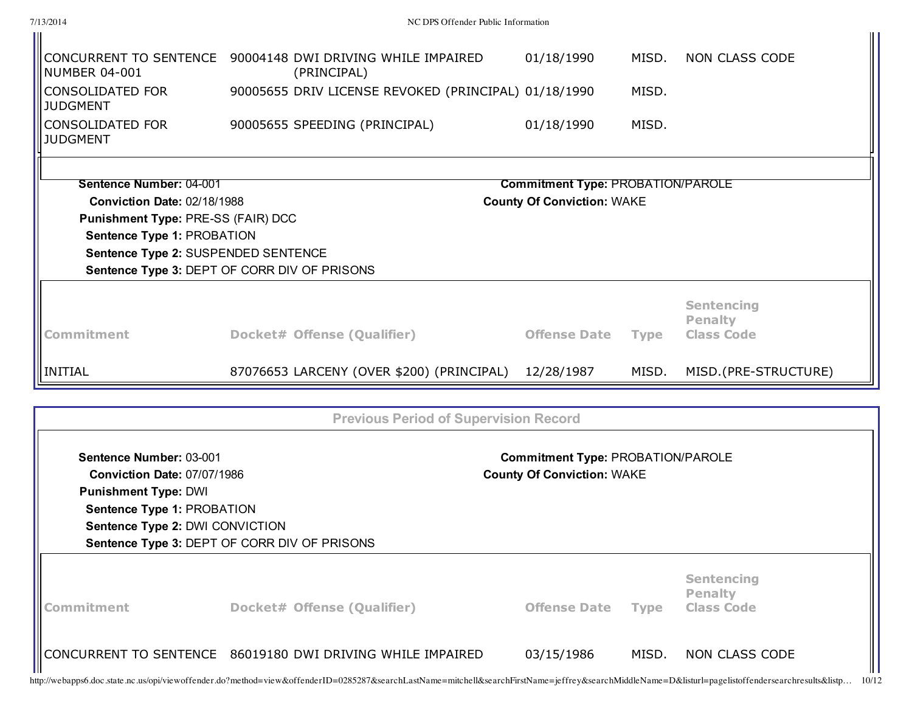| Commitment                                                    | Docket# Offense (Qualifier)                                               | <b>Offense Date</b>                                                           | <b>Type</b> | <b>Sentencing</b><br><b>Penalty</b><br><b>Class Code</b> |
|---------------------------------------------------------------|---------------------------------------------------------------------------|-------------------------------------------------------------------------------|-------------|----------------------------------------------------------|
|                                                               | Sentence Type 3: DEPT OF CORR DIV OF PRISONS                              |                                                                               |             |                                                          |
| Sentence Type 2: DWI CONVICTION                               |                                                                           |                                                                               |             |                                                          |
| Sentence Type 1: PROBATION                                    |                                                                           |                                                                               |             |                                                          |
| <b>Punishment Type: DWI</b>                                   |                                                                           |                                                                               |             |                                                          |
| Sentence Number: 03-001<br><b>Conviction Date: 07/07/1986</b> |                                                                           | <b>Commitment Type: PROBATION/PAROLE</b><br><b>County Of Conviction: WAKE</b> |             |                                                          |
|                                                               | <b>Previous Period of Supervision Record</b>                              |                                                                               |             |                                                          |
|                                                               |                                                                           |                                                                               |             |                                                          |
| <b>INITIAL</b>                                                | 87076653 LARCENY (OVER \$200) (PRINCIPAL)                                 | 12/28/1987                                                                    | MISD.       | MISD.(PRE-STRUCTURE)                                     |
| <b>Commitment</b>                                             | Docket# Offense (Qualifier)                                               | <b>Offense Date</b>                                                           | <b>Type</b> | <b>Sentencing</b><br><b>Penalty</b><br><b>Class Code</b> |
|                                                               |                                                                           |                                                                               |             |                                                          |
| Sentence Type 2: SUSPENDED SENTENCE                           | Sentence Type 3: DEPT OF CORR DIV OF PRISONS                              |                                                                               |             |                                                          |
| Sentence Type 1: PROBATION                                    |                                                                           |                                                                               |             |                                                          |
| Punishment Type: PRE-SS (FAIR) DCC                            |                                                                           |                                                                               |             |                                                          |
| Sentence Number: 04-001<br><b>Conviction Date: 02/18/1988</b> |                                                                           | <b>Commitment Type: PROBATION/PAROLE</b><br><b>County Of Conviction: WAKE</b> |             |                                                          |
|                                                               |                                                                           |                                                                               |             |                                                          |
| <b>CONSOLIDATED FOR</b><br><b>JUDGMENT</b>                    | 90005655 SPEEDING (PRINCIPAL)                                             | 01/18/1990                                                                    | MISD.       |                                                          |
| <b>CONSOLIDATED FOR</b><br><b>JUDGMENT</b>                    | 90005655 DRIV LICENSE REVOKED (PRINCIPAL) 01/18/1990                      |                                                                               | MISD.       |                                                          |
| <b>NUMBER 04-001</b>                                          | CONCURRENT TO SENTENCE 90004148 DWI DRIVING WHILE IMPAIRED<br>(PRINCIPAL) | 01/18/1990                                                                    | MISD.       | NON CLASS CODE                                           |
|                                                               |                                                                           |                                                                               |             |                                                          |

 $\mathbf{II}$ 

7/13/2014 NC DPS Offender Public Information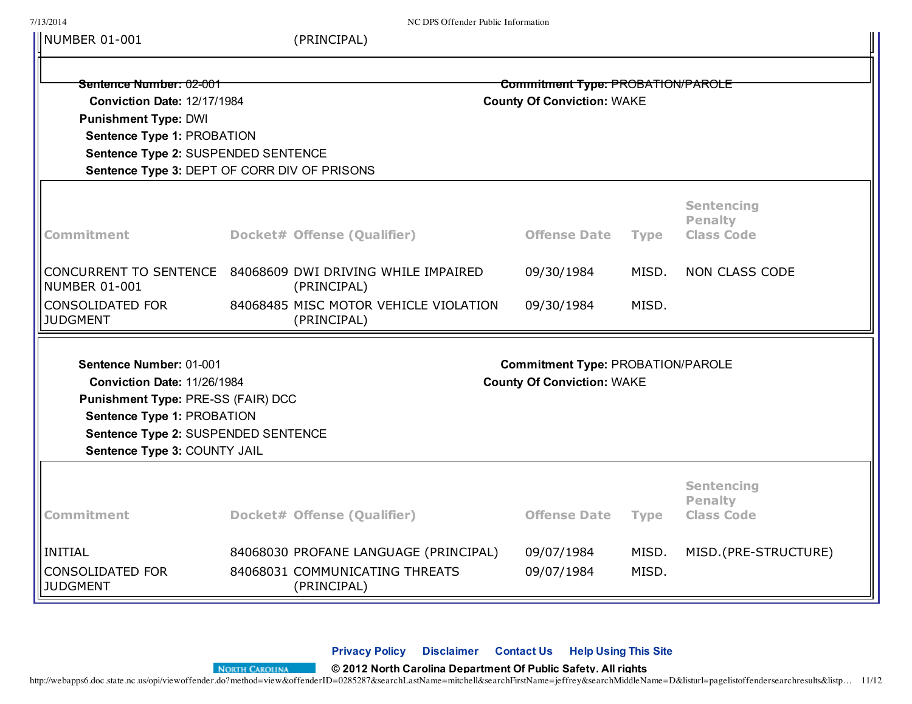| 7/13/2014                                                        |  | NC DPS Offender Public Information                                        |                                          |             |                                     |
|------------------------------------------------------------------|--|---------------------------------------------------------------------------|------------------------------------------|-------------|-------------------------------------|
| NUMBER 01-001                                                    |  | (PRINCIPAL)                                                               |                                          |             |                                     |
| Sentence Number: 02-001<br>Conviction Date: 12/17/1984           |  | Commitment Type: PROBATION/PAROLE<br><b>County Of Conviction: WAKE</b>    |                                          |             |                                     |
|                                                                  |  |                                                                           |                                          |             |                                     |
| Sentence Type 1: PROBATION                                       |  |                                                                           |                                          |             |                                     |
| Sentence Type 2: SUSPENDED SENTENCE                              |  |                                                                           |                                          |             |                                     |
| Sentence Type 3: DEPT OF CORR DIV OF PRISONS                     |  |                                                                           |                                          |             |                                     |
|                                                                  |  |                                                                           |                                          |             | <b>Sentencing</b><br><b>Penalty</b> |
| <b>Commitment</b>                                                |  | Docket# Offense (Qualifier)                                               | <b>Offense Date</b>                      | <b>Type</b> | <b>Class Code</b>                   |
| <b>NUMBER 01-001</b>                                             |  | CONCURRENT TO SENTENCE 84068609 DWI DRIVING WHILE IMPAIRED<br>(PRINCIPAL) | 09/30/1984                               | MISD.       | <b>NON CLASS CODE</b>               |
| <b>CONSOLIDATED FOR</b><br><b>JUDGMENT</b>                       |  | 84068485 MISC MOTOR VEHICLE VIOLATION<br>(PRINCIPAL)                      | 09/30/1984                               | MISD.       |                                     |
| Sentence Number: 01-001                                          |  |                                                                           | <b>Commitment Type: PROBATION/PAROLE</b> |             |                                     |
| Conviction Date: 11/26/1984                                      |  | <b>County Of Conviction: WAKE</b>                                         |                                          |             |                                     |
| Punishment Type: PRE-SS (FAIR) DCC<br>Sentence Type 1: PROBATION |  |                                                                           |                                          |             |                                     |
| Sentence Type 2: SUSPENDED SENTENCE                              |  |                                                                           |                                          |             |                                     |
| Sentence Type 3: COUNTY JAIL                                     |  |                                                                           |                                          |             |                                     |
|                                                                  |  |                                                                           |                                          |             |                                     |
|                                                                  |  |                                                                           |                                          |             | <b>Sentencing</b><br><b>Penalty</b> |
| <b>Commitment</b>                                                |  | Docket# Offense (Qualifier)                                               | <b>Offense Date</b>                      | <b>Type</b> | <b>Class Code</b>                   |
| INITIAL                                                          |  | 84068030 PROFANE LANGUAGE (PRINCIPAL)                                     | 09/07/1984                               | MISD.       | MISD.(PRE-STRUCTURE)                |
| <b>CONSOLIDATED FOR</b><br><b>JUDGMENT</b>                       |  | 84068031 COMMUNICATING THREATS<br>(PRINCIPAL)                             | 09/07/1984                               | MISD.       |                                     |

**[Privacy](http://webapps6.doc.state.nc.us/opi/privacy.do) Policy [Disclaimer](http://webapps6.doc.state.nc.us/opi/disclaimer.do) [Contact](http://webapps6.doc.state.nc.us/opi/contact.do) Us Help [Using](http://webapps6.doc.state.nc.us/opi/help.do) This Site**

http://webapps6.doc.state.nc.us/opi/viewoffender[.do?method=view&offende](http://www.nc.gov/)rID=0285287&searchLastName=mitchell&searchFirstName=jeffrey&searchMiddleName=D&listurl=pagelistoffendersearchresults&listp… 11/12 **© 2012 North Carolina Department Of Public Safety. All rights**